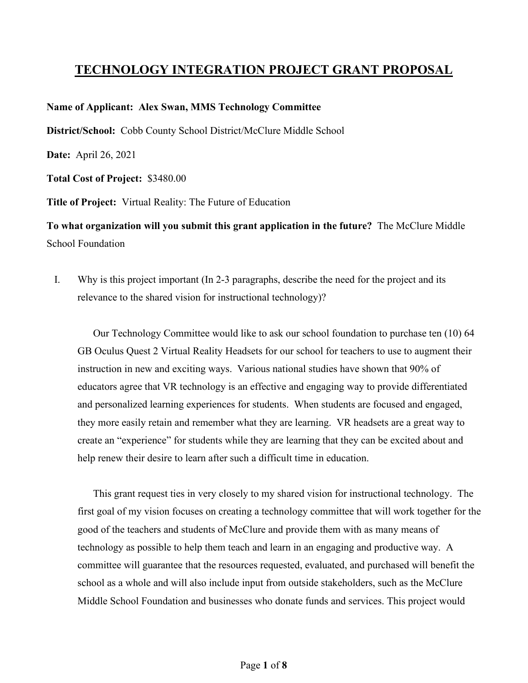## **TECHNOLOGY INTEGRATION PROJECT GRANT PROPOSAL**

## **Name of Applicant: Alex Swan, MMS Technology Committee**

**District/School:** Cobb County School District/McClure Middle School

**Date:** April 26, 2021

**Total Cost of Project:** \$3480.00

**Title of Project:** Virtual Reality: The Future of Education

**To what organization will you submit this grant application in the future?** The McClure Middle School Foundation

I. Why is this project important (In 2-3 paragraphs, describe the need for the project and its relevance to the shared vision for instructional technology)?

Our Technology Committee would like to ask our school foundation to purchase ten (10) 64 GB Oculus Quest 2 Virtual Reality Headsets for our school for teachers to use to augment their instruction in new and exciting ways. Various national studies have shown that 90% of educators agree that VR technology is an effective and engaging way to provide differentiated and personalized learning experiences for students. When students are focused and engaged, they more easily retain and remember what they are learning. VR headsets are a great way to create an "experience" for students while they are learning that they can be excited about and help renew their desire to learn after such a difficult time in education.

This grant request ties in very closely to my shared vision for instructional technology. The first goal of my vision focuses on creating a technology committee that will work together for the good of the teachers and students of McClure and provide them with as many means of technology as possible to help them teach and learn in an engaging and productive way. A committee will guarantee that the resources requested, evaluated, and purchased will benefit the school as a whole and will also include input from outside stakeholders, such as the McClure Middle School Foundation and businesses who donate funds and services. This project would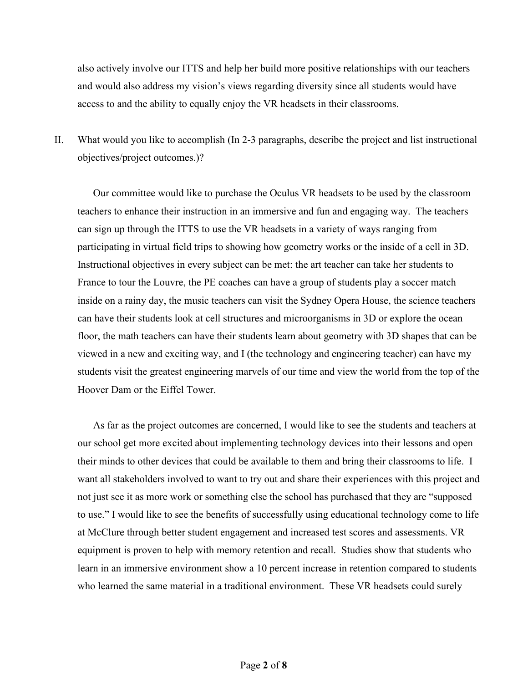also actively involve our ITTS and help her build more positive relationships with our teachers and would also address my vision's views regarding diversity since all students would have access to and the ability to equally enjoy the VR headsets in their classrooms.

II. What would you like to accomplish (In 2-3 paragraphs, describe the project and list instructional objectives/project outcomes.)?

Our committee would like to purchase the Oculus VR headsets to be used by the classroom teachers to enhance their instruction in an immersive and fun and engaging way. The teachers can sign up through the ITTS to use the VR headsets in a variety of ways ranging from participating in virtual field trips to showing how geometry works or the inside of a cell in 3D. Instructional objectives in every subject can be met: the art teacher can take her students to France to tour the Louvre, the PE coaches can have a group of students play a soccer match inside on a rainy day, the music teachers can visit the Sydney Opera House, the science teachers can have their students look at cell structures and microorganisms in 3D or explore the ocean floor, the math teachers can have their students learn about geometry with 3D shapes that can be viewed in a new and exciting way, and I (the technology and engineering teacher) can have my students visit the greatest engineering marvels of our time and view the world from the top of the Hoover Dam or the Eiffel Tower.

As far as the project outcomes are concerned, I would like to see the students and teachers at our school get more excited about implementing technology devices into their lessons and open their minds to other devices that could be available to them and bring their classrooms to life. I want all stakeholders involved to want to try out and share their experiences with this project and not just see it as more work or something else the school has purchased that they are "supposed to use." I would like to see the benefits of successfully using educational technology come to life at McClure through better student engagement and increased test scores and assessments. VR equipment is proven to help with memory retention and recall. Studies show that students who learn in an immersive environment show a 10 percent increase in retention compared to students who learned the same material in a traditional environment. These VR headsets could surely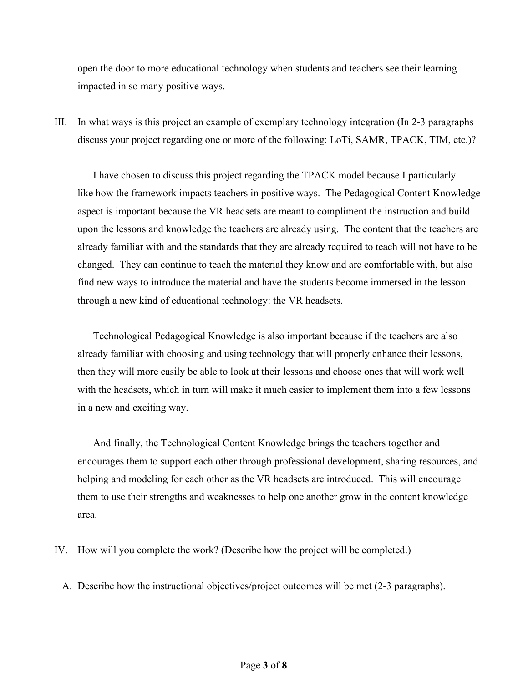open the door to more educational technology when students and teachers see their learning impacted in so many positive ways.

III. In what ways is this project an example of exemplary technology integration (In 2-3 paragraphs discuss your project regarding one or more of the following: LoTi, SAMR, TPACK, TIM, etc.)?

I have chosen to discuss this project regarding the TPACK model because I particularly like how the framework impacts teachers in positive ways. The Pedagogical Content Knowledge aspect is important because the VR headsets are meant to compliment the instruction and build upon the lessons and knowledge the teachers are already using. The content that the teachers are already familiar with and the standards that they are already required to teach will not have to be changed. They can continue to teach the material they know and are comfortable with, but also find new ways to introduce the material and have the students become immersed in the lesson through a new kind of educational technology: the VR headsets.

Technological Pedagogical Knowledge is also important because if the teachers are also already familiar with choosing and using technology that will properly enhance their lessons, then they will more easily be able to look at their lessons and choose ones that will work well with the headsets, which in turn will make it much easier to implement them into a few lessons in a new and exciting way.

And finally, the Technological Content Knowledge brings the teachers together and encourages them to support each other through professional development, sharing resources, and helping and modeling for each other as the VR headsets are introduced. This will encourage them to use their strengths and weaknesses to help one another grow in the content knowledge area.

- IV. How will you complete the work? (Describe how the project will be completed.)
	- A. Describe how the instructional objectives/project outcomes will be met (2-3 paragraphs).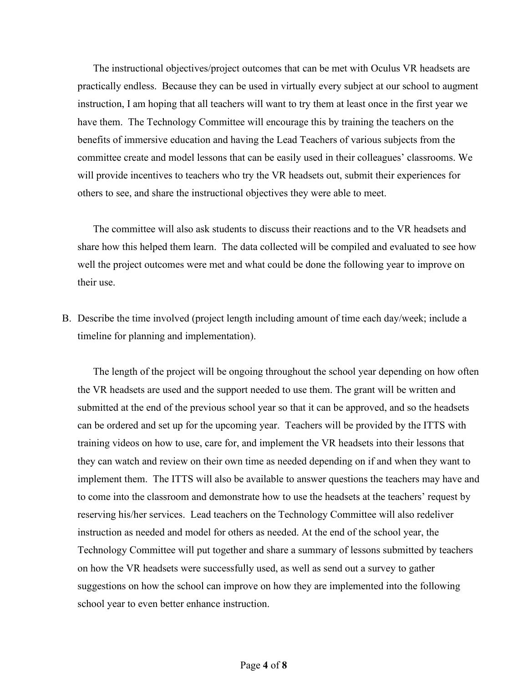The instructional objectives/project outcomes that can be met with Oculus VR headsets are practically endless. Because they can be used in virtually every subject at our school to augment instruction, I am hoping that all teachers will want to try them at least once in the first year we have them. The Technology Committee will encourage this by training the teachers on the benefits of immersive education and having the Lead Teachers of various subjects from the committee create and model lessons that can be easily used in their colleagues' classrooms. We will provide incentives to teachers who try the VR headsets out, submit their experiences for others to see, and share the instructional objectives they were able to meet.

The committee will also ask students to discuss their reactions and to the VR headsets and share how this helped them learn. The data collected will be compiled and evaluated to see how well the project outcomes were met and what could be done the following year to improve on their use.

B. Describe the time involved (project length including amount of time each day/week; include a timeline for planning and implementation).

The length of the project will be ongoing throughout the school year depending on how often the VR headsets are used and the support needed to use them. The grant will be written and submitted at the end of the previous school year so that it can be approved, and so the headsets can be ordered and set up for the upcoming year. Teachers will be provided by the ITTS with training videos on how to use, care for, and implement the VR headsets into their lessons that they can watch and review on their own time as needed depending on if and when they want to implement them. The ITTS will also be available to answer questions the teachers may have and to come into the classroom and demonstrate how to use the headsets at the teachers' request by reserving his/her services. Lead teachers on the Technology Committee will also redeliver instruction as needed and model for others as needed. At the end of the school year, the Technology Committee will put together and share a summary of lessons submitted by teachers on how the VR headsets were successfully used, as well as send out a survey to gather suggestions on how the school can improve on how they are implemented into the following school year to even better enhance instruction.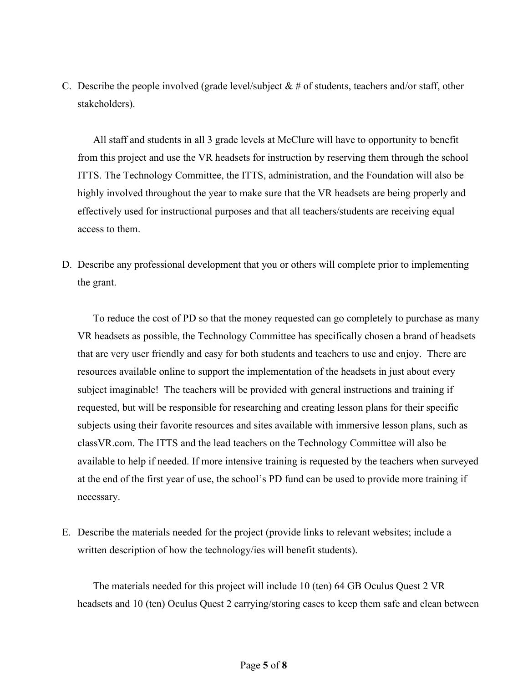C. Describe the people involved (grade level/subject  $\& \#$  of students, teachers and/or staff, other stakeholders).

All staff and students in all 3 grade levels at McClure will have to opportunity to benefit from this project and use the VR headsets for instruction by reserving them through the school ITTS. The Technology Committee, the ITTS, administration, and the Foundation will also be highly involved throughout the year to make sure that the VR headsets are being properly and effectively used for instructional purposes and that all teachers/students are receiving equal access to them.

D. Describe any professional development that you or others will complete prior to implementing the grant.

To reduce the cost of PD so that the money requested can go completely to purchase as many VR headsets as possible, the Technology Committee has specifically chosen a brand of headsets that are very user friendly and easy for both students and teachers to use and enjoy. There are resources available online to support the implementation of the headsets in just about every subject imaginable! The teachers will be provided with general instructions and training if requested, but will be responsible for researching and creating lesson plans for their specific subjects using their favorite resources and sites available with immersive lesson plans, such as classVR.com. The ITTS and the lead teachers on the Technology Committee will also be available to help if needed. If more intensive training is requested by the teachers when surveyed at the end of the first year of use, the school's PD fund can be used to provide more training if necessary.

E. Describe the materials needed for the project (provide links to relevant websites; include a written description of how the technology/ies will benefit students).

The materials needed for this project will include 10 (ten) 64 GB Oculus Quest 2 VR headsets and 10 (ten) Oculus Quest 2 carrying/storing cases to keep them safe and clean between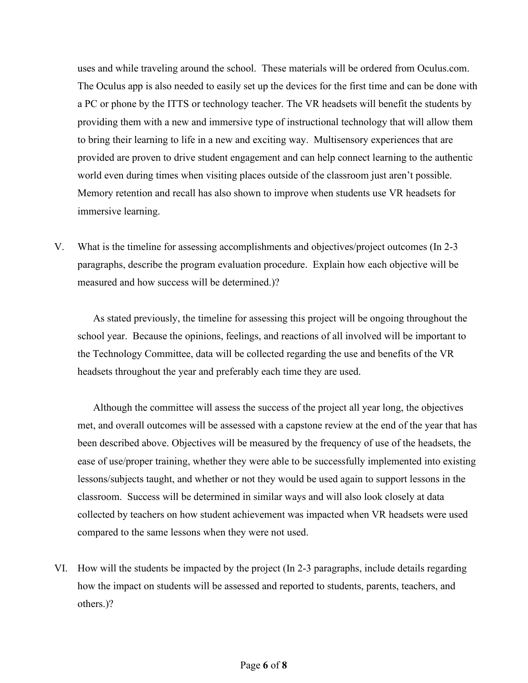uses and while traveling around the school. These materials will be ordered from Oculus.com. The Oculus app is also needed to easily set up the devices for the first time and can be done with a PC or phone by the ITTS or technology teacher. The VR headsets will benefit the students by providing them with a new and immersive type of instructional technology that will allow them to bring their learning to life in a new and exciting way. Multisensory experiences that are provided are proven to drive student engagement and can help connect learning to the authentic world even during times when visiting places outside of the classroom just aren't possible. Memory retention and recall has also shown to improve when students use VR headsets for immersive learning.

V. What is the timeline for assessing accomplishments and objectives/project outcomes (In 2-3 paragraphs, describe the program evaluation procedure. Explain how each objective will be measured and how success will be determined.)?

As stated previously, the timeline for assessing this project will be ongoing throughout the school year. Because the opinions, feelings, and reactions of all involved will be important to the Technology Committee, data will be collected regarding the use and benefits of the VR headsets throughout the year and preferably each time they are used.

Although the committee will assess the success of the project all year long, the objectives met, and overall outcomes will be assessed with a capstone review at the end of the year that has been described above. Objectives will be measured by the frequency of use of the headsets, the ease of use/proper training, whether they were able to be successfully implemented into existing lessons/subjects taught, and whether or not they would be used again to support lessons in the classroom. Success will be determined in similar ways and will also look closely at data collected by teachers on how student achievement was impacted when VR headsets were used compared to the same lessons when they were not used.

VI. How will the students be impacted by the project (In 2-3 paragraphs, include details regarding how the impact on students will be assessed and reported to students, parents, teachers, and others.)?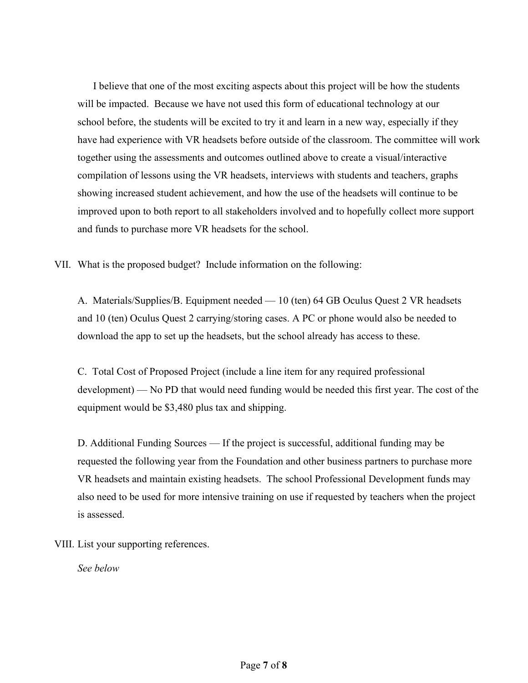I believe that one of the most exciting aspects about this project will be how the students will be impacted. Because we have not used this form of educational technology at our school before, the students will be excited to try it and learn in a new way, especially if they have had experience with VR headsets before outside of the classroom. The committee will work together using the assessments and outcomes outlined above to create a visual/interactive compilation of lessons using the VR headsets, interviews with students and teachers, graphs showing increased student achievement, and how the use of the headsets will continue to be improved upon to both report to all stakeholders involved and to hopefully collect more support and funds to purchase more VR headsets for the school.

VII. What is the proposed budget? Include information on the following:

A. Materials/Supplies/B. Equipment needed — 10 (ten) 64 GB Oculus Quest 2 VR headsets and 10 (ten) Oculus Quest 2 carrying/storing cases. A PC or phone would also be needed to download the app to set up the headsets, but the school already has access to these.

C. Total Cost of Proposed Project (include a line item for any required professional development) — No PD that would need funding would be needed this first year. The cost of the equipment would be \$3,480 plus tax and shipping.

D. Additional Funding Sources — If the project is successful, additional funding may be requested the following year from the Foundation and other business partners to purchase more VR headsets and maintain existing headsets. The school Professional Development funds may also need to be used for more intensive training on use if requested by teachers when the project is assessed.

VIII. List your supporting references.

*See below*